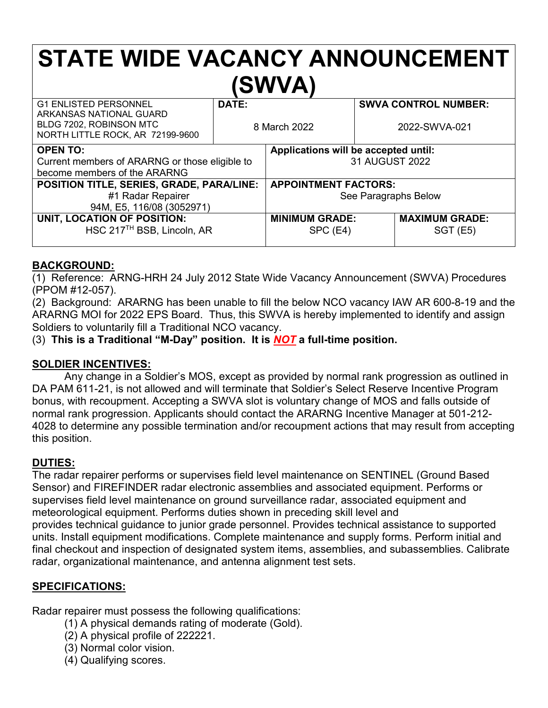# **STATE WIDE VACANCY ANNOUNCEMENT (SWVA)**

| <b>G1 ENLISTED PERSONNEL</b><br>ARKANSAS NATIONAL GUARD<br>BLDG 7202, ROBINSON MTC<br>NORTH LITTLE ROCK, AR 72199-9600 | DATE:<br>8 March 2022 |                                      | <b>SWVA CONTROL NUMBER:</b><br>2022-SWVA-021 |                       |
|------------------------------------------------------------------------------------------------------------------------|-----------------------|--------------------------------------|----------------------------------------------|-----------------------|
|                                                                                                                        |                       |                                      |                                              |                       |
| <b>OPEN TO:</b>                                                                                                        |                       | Applications will be accepted until: |                                              |                       |
| Current members of ARARNG or those eligible to                                                                         |                       | 31 AUGUST 2022                       |                                              |                       |
| become members of the ARARNG                                                                                           |                       |                                      |                                              |                       |
| POSITION TITLE, SERIES, GRADE, PARA/LINE:                                                                              |                       | <b>APPOINTMENT FACTORS:</b>          |                                              |                       |
| #1 Radar Repairer                                                                                                      |                       | See Paragraphs Below                 |                                              |                       |
| 94M, E5, 116/08 (3052971)                                                                                              |                       |                                      |                                              |                       |
| UNIT, LOCATION OF POSITION:                                                                                            |                       | <b>MINIMUM GRADE:</b>                |                                              | <b>MAXIMUM GRADE:</b> |
| HSC 217 <sup>TH</sup> BSB, Lincoln, AR                                                                                 |                       | SPC (E4)                             |                                              | $SGT$ (E5)            |
|                                                                                                                        |                       |                                      |                                              |                       |

#### **BACKGROUND:**

(1) Reference: ARNG-HRH 24 July 2012 State Wide Vacancy Announcement (SWVA) Procedures (PPOM #12-057).

(2) Background: ARARNG has been unable to fill the below NCO vacancy IAW AR 600-8-19 and the ARARNG MOI for 2022 EPS Board. Thus, this SWVA is hereby implemented to identify and assign Soldiers to voluntarily fill a Traditional NCO vacancy.

(3) **This is a Traditional "M-Day" position. It is** *NOT* **a full-time position.**

## **SOLDIER INCENTIVES:**

Any change in a Soldier's MOS, except as provided by normal rank progression as outlined in DA PAM 611-21, is not allowed and will terminate that Soldier's Select Reserve Incentive Program bonus, with recoupment. Accepting a SWVA slot is voluntary change of MOS and falls outside of normal rank progression. Applicants should contact the ARARNG Incentive Manager at 501-212- 4028 to determine any possible termination and/or recoupment actions that may result from accepting this position.

## **DUTIES:**

The radar repairer performs or supervises field level maintenance on SENTINEL (Ground Based Sensor) and FIREFINDER radar electronic assemblies and associated equipment. Performs or supervises field level maintenance on ground surveillance radar, associated equipment and meteorological equipment. Performs duties shown in preceding skill level and provides technical guidance to junior grade personnel. Provides technical assistance to supported units. Install equipment modifications. Complete maintenance and supply forms. Perform initial and final checkout and inspection of designated system items, assemblies, and subassemblies. Calibrate radar, organizational maintenance, and antenna alignment test sets.

## **SPECIFICATIONS:**

Radar repairer must possess the following qualifications:

- (1) A physical demands rating of moderate (Gold).
- (2) A physical profile of 222221.
- (3) Normal color vision.
- (4) Qualifying scores.